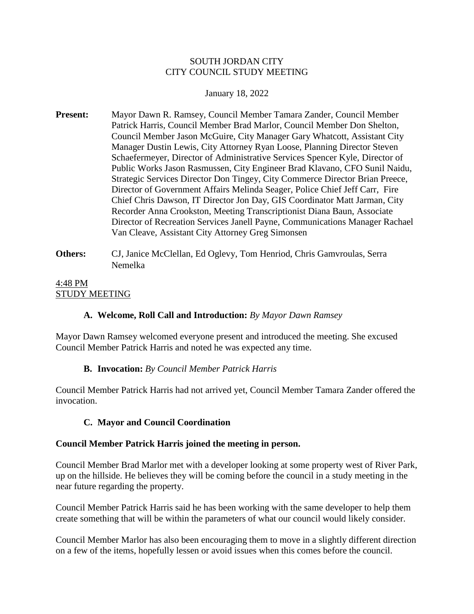## SOUTH JORDAN CITY CITY COUNCIL STUDY MEETING

### January 18, 2022

- **Present:** Mayor Dawn R. Ramsey, Council Member Tamara Zander, Council Member Patrick Harris, Council Member Brad Marlor, Council Member Don Shelton, Council Member Jason McGuire, City Manager Gary Whatcott, Assistant City Manager Dustin Lewis, City Attorney Ryan Loose, Planning Director Steven Schaefermeyer, Director of Administrative Services Spencer Kyle, Director of Public Works Jason Rasmussen, City Engineer Brad Klavano, CFO Sunil Naidu, Strategic Services Director Don Tingey, City Commerce Director Brian Preece, Director of Government Affairs Melinda Seager, Police Chief Jeff Carr, Fire Chief Chris Dawson, IT Director Jon Day, GIS Coordinator Matt Jarman, City Recorder Anna Crookston, Meeting Transcriptionist Diana Baun, Associate Director of Recreation Services Janell Payne, Communications Manager Rachael Van Cleave, Assistant City Attorney Greg Simonsen
- **Others:** CJ, Janice McClellan, Ed Oglevy, Tom Henriod, Chris Gamvroulas, Serra Nemelka

# 4:48 PM STUDY MEETING

# **A. Welcome, Roll Call and Introduction:** *By Mayor Dawn Ramsey*

Mayor Dawn Ramsey welcomed everyone present and introduced the meeting. She excused Council Member Patrick Harris and noted he was expected any time.

# **B. Invocation:** *By Council Member Patrick Harris*

Council Member Patrick Harris had not arrived yet, Council Member Tamara Zander offered the invocation.

# **C. Mayor and Council Coordination**

#### **Council Member Patrick Harris joined the meeting in person.**

Council Member Brad Marlor met with a developer looking at some property west of River Park, up on the hillside. He believes they will be coming before the council in a study meeting in the near future regarding the property.

Council Member Patrick Harris said he has been working with the same developer to help them create something that will be within the parameters of what our council would likely consider.

Council Member Marlor has also been encouraging them to move in a slightly different direction on a few of the items, hopefully lessen or avoid issues when this comes before the council.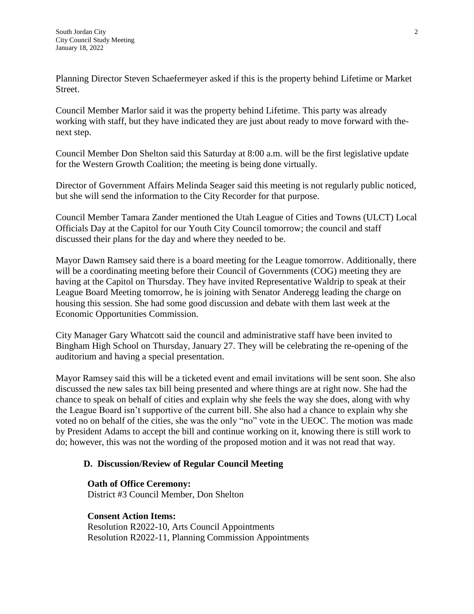Planning Director Steven Schaefermeyer asked if this is the property behind Lifetime or Market Street.

Council Member Marlor said it was the property behind Lifetime. This party was already working with staff, but they have indicated they are just about ready to move forward with thenext step.

Council Member Don Shelton said this Saturday at 8:00 a.m. will be the first legislative update for the Western Growth Coalition; the meeting is being done virtually.

Director of Government Affairs Melinda Seager said this meeting is not regularly public noticed, but she will send the information to the City Recorder for that purpose.

Council Member Tamara Zander mentioned the Utah League of Cities and Towns (ULCT) Local Officials Day at the Capitol for our Youth City Council tomorrow; the council and staff discussed their plans for the day and where they needed to be.

Mayor Dawn Ramsey said there is a board meeting for the League tomorrow. Additionally, there will be a coordinating meeting before their Council of Governments (COG) meeting they are having at the Capitol on Thursday. They have invited Representative Waldrip to speak at their League Board Meeting tomorrow, he is joining with Senator Anderegg leading the charge on housing this session. She had some good discussion and debate with them last week at the Economic Opportunities Commission.

City Manager Gary Whatcott said the council and administrative staff have been invited to Bingham High School on Thursday, January 27. They will be celebrating the re-opening of the auditorium and having a special presentation.

Mayor Ramsey said this will be a ticketed event and email invitations will be sent soon. She also discussed the new sales tax bill being presented and where things are at right now. She had the chance to speak on behalf of cities and explain why she feels the way she does, along with why the League Board isn't supportive of the current bill. She also had a chance to explain why she voted no on behalf of the cities, she was the only "no" vote in the UEOC. The motion was made by President Adams to accept the bill and continue working on it, knowing there is still work to do; however, this was not the wording of the proposed motion and it was not read that way.

# **D. Discussion/Review of Regular Council Meeting**

#### **Oath of Office Ceremony:**

District #3 Council Member, Don Shelton

**Consent Action Items:**

Resolution R2022-10, Arts Council Appointments Resolution R2022-11, Planning Commission Appointments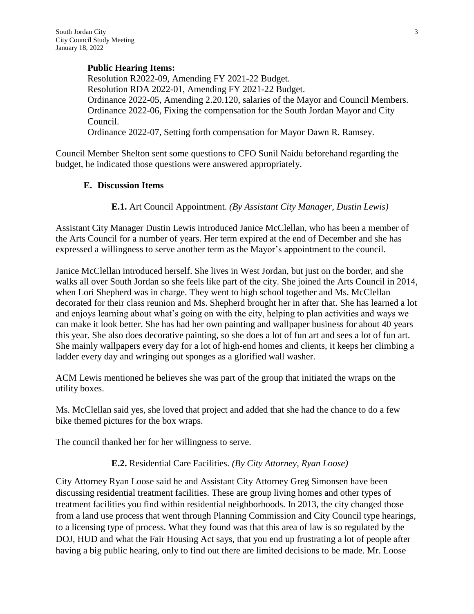## **Public Hearing Items:**

Resolution R2022-09, Amending FY 2021-22 Budget. Resolution RDA 2022-01, Amending FY 2021-22 Budget. Ordinance 2022-05, Amending 2.20.120, salaries of the Mayor and Council Members. Ordinance 2022-06, Fixing the compensation for the South Jordan Mayor and City Council. Ordinance 2022-07, Setting forth compensation for Mayor Dawn R. Ramsey.

Council Member Shelton sent some questions to CFO Sunil Naidu beforehand regarding the budget, he indicated those questions were answered appropriately.

## **E. Discussion Items**

**E.1.** Art Council Appointment. *(By Assistant City Manager, Dustin Lewis)*

Assistant City Manager Dustin Lewis introduced Janice McClellan, who has been a member of the Arts Council for a number of years. Her term expired at the end of December and she has expressed a willingness to serve another term as the Mayor's appointment to the council.

Janice McClellan introduced herself. She lives in West Jordan, but just on the border, and she walks all over South Jordan so she feels like part of the city. She joined the Arts Council in 2014, when Lori Shepherd was in charge. They went to high school together and Ms. McClellan decorated for their class reunion and Ms. Shepherd brought her in after that. She has learned a lot and enjoys learning about what's going on with the city, helping to plan activities and ways we can make it look better. She has had her own painting and wallpaper business for about 40 years this year. She also does decorative painting, so she does a lot of fun art and sees a lot of fun art. She mainly wallpapers every day for a lot of high-end homes and clients, it keeps her climbing a ladder every day and wringing out sponges as a glorified wall washer.

ACM Lewis mentioned he believes she was part of the group that initiated the wraps on the utility boxes.

Ms. McClellan said yes, she loved that project and added that she had the chance to do a few bike themed pictures for the box wraps.

The council thanked her for her willingness to serve.

**E.2.** Residential Care Facilities. *(By City Attorney, Ryan Loose)*

City Attorney Ryan Loose said he and Assistant City Attorney Greg Simonsen have been discussing residential treatment facilities. These are group living homes and other types of treatment facilities you find within residential neighborhoods. In 2013, the city changed those from a land use process that went through Planning Commission and City Council type hearings, to a licensing type of process. What they found was that this area of law is so regulated by the DOJ, HUD and what the Fair Housing Act says, that you end up frustrating a lot of people after having a big public hearing, only to find out there are limited decisions to be made. Mr. Loose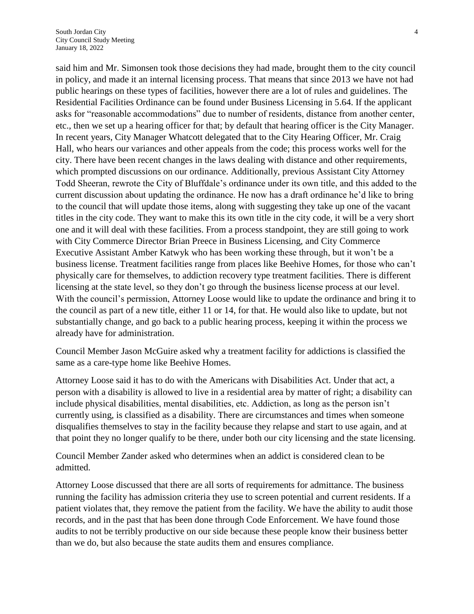said him and Mr. Simonsen took those decisions they had made, brought them to the city council in policy, and made it an internal licensing process. That means that since 2013 we have not had public hearings on these types of facilities, however there are a lot of rules and guidelines. The Residential Facilities Ordinance can be found under Business Licensing in 5.64. If the applicant asks for "reasonable accommodations" due to number of residents, distance from another center, etc., then we set up a hearing officer for that; by default that hearing officer is the City Manager. In recent years, City Manager Whatcott delegated that to the City Hearing Officer, Mr. Craig Hall, who hears our variances and other appeals from the code; this process works well for the city. There have been recent changes in the laws dealing with distance and other requirements, which prompted discussions on our ordinance. Additionally, previous Assistant City Attorney Todd Sheeran, rewrote the City of Bluffdale's ordinance under its own title, and this added to the current discussion about updating the ordinance. He now has a draft ordinance he'd like to bring to the council that will update those items, along with suggesting they take up one of the vacant titles in the city code. They want to make this its own title in the city code, it will be a very short one and it will deal with these facilities. From a process standpoint, they are still going to work with City Commerce Director Brian Preece in Business Licensing, and City Commerce Executive Assistant Amber Katwyk who has been working these through, but it won't be a business license. Treatment facilities range from places like Beehive Homes, for those who can't physically care for themselves, to addiction recovery type treatment facilities. There is different licensing at the state level, so they don't go through the business license process at our level. With the council's permission, Attorney Loose would like to update the ordinance and bring it to the council as part of a new title, either 11 or 14, for that. He would also like to update, but not substantially change, and go back to a public hearing process, keeping it within the process we already have for administration.

Council Member Jason McGuire asked why a treatment facility for addictions is classified the same as a care-type home like Beehive Homes.

Attorney Loose said it has to do with the Americans with Disabilities Act. Under that act, a person with a disability is allowed to live in a residential area by matter of right; a disability can include physical disabilities, mental disabilities, etc. Addiction, as long as the person isn't currently using, is classified as a disability. There are circumstances and times when someone disqualifies themselves to stay in the facility because they relapse and start to use again, and at that point they no longer qualify to be there, under both our city licensing and the state licensing.

Council Member Zander asked who determines when an addict is considered clean to be admitted.

Attorney Loose discussed that there are all sorts of requirements for admittance. The business running the facility has admission criteria they use to screen potential and current residents. If a patient violates that, they remove the patient from the facility. We have the ability to audit those records, and in the past that has been done through Code Enforcement. We have found those audits to not be terribly productive on our side because these people know their business better than we do, but also because the state audits them and ensures compliance.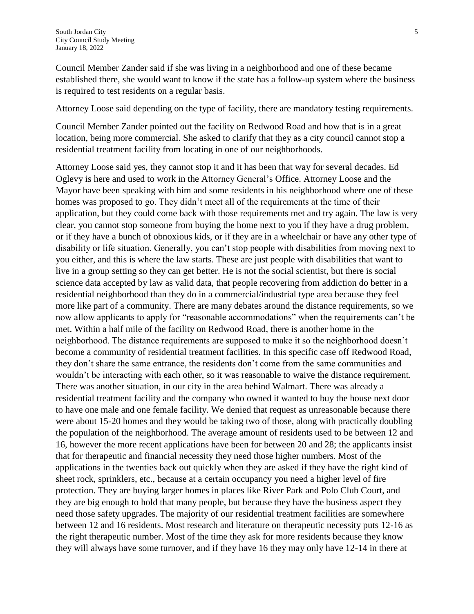Council Member Zander said if she was living in a neighborhood and one of these became established there, she would want to know if the state has a follow-up system where the business is required to test residents on a regular basis.

Attorney Loose said depending on the type of facility, there are mandatory testing requirements.

Council Member Zander pointed out the facility on Redwood Road and how that is in a great location, being more commercial. She asked to clarify that they as a city council cannot stop a residential treatment facility from locating in one of our neighborhoods.

Attorney Loose said yes, they cannot stop it and it has been that way for several decades. Ed Oglevy is here and used to work in the Attorney General's Office. Attorney Loose and the Mayor have been speaking with him and some residents in his neighborhood where one of these homes was proposed to go. They didn't meet all of the requirements at the time of their application, but they could come back with those requirements met and try again. The law is very clear, you cannot stop someone from buying the home next to you if they have a drug problem, or if they have a bunch of obnoxious kids, or if they are in a wheelchair or have any other type of disability or life situation. Generally, you can't stop people with disabilities from moving next to you either, and this is where the law starts. These are just people with disabilities that want to live in a group setting so they can get better. He is not the social scientist, but there is social science data accepted by law as valid data, that people recovering from addiction do better in a residential neighborhood than they do in a commercial/industrial type area because they feel more like part of a community. There are many debates around the distance requirements, so we now allow applicants to apply for "reasonable accommodations" when the requirements can't be met. Within a half mile of the facility on Redwood Road, there is another home in the neighborhood. The distance requirements are supposed to make it so the neighborhood doesn't become a community of residential treatment facilities. In this specific case off Redwood Road, they don't share the same entrance, the residents don't come from the same communities and wouldn't be interacting with each other, so it was reasonable to waive the distance requirement. There was another situation, in our city in the area behind Walmart. There was already a residential treatment facility and the company who owned it wanted to buy the house next door to have one male and one female facility. We denied that request as unreasonable because there were about 15-20 homes and they would be taking two of those, along with practically doubling the population of the neighborhood. The average amount of residents used to be between 12 and 16, however the more recent applications have been for between 20 and 28; the applicants insist that for therapeutic and financial necessity they need those higher numbers. Most of the applications in the twenties back out quickly when they are asked if they have the right kind of sheet rock, sprinklers, etc., because at a certain occupancy you need a higher level of fire protection. They are buying larger homes in places like River Park and Polo Club Court, and they are big enough to hold that many people, but because they have the business aspect they need those safety upgrades. The majority of our residential treatment facilities are somewhere between 12 and 16 residents. Most research and literature on therapeutic necessity puts 12-16 as the right therapeutic number. Most of the time they ask for more residents because they know they will always have some turnover, and if they have 16 they may only have 12-14 in there at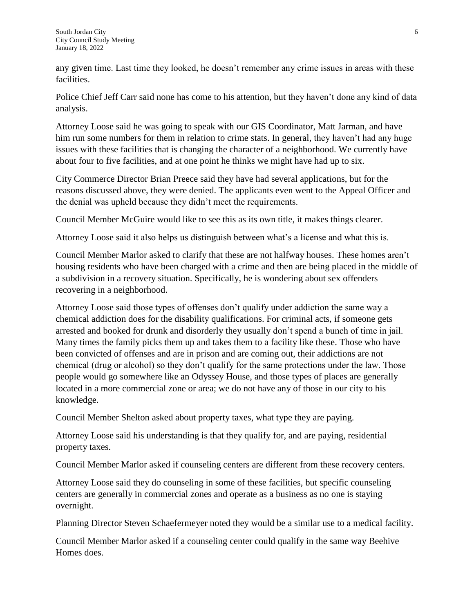any given time. Last time they looked, he doesn't remember any crime issues in areas with these facilities.

Police Chief Jeff Carr said none has come to his attention, but they haven't done any kind of data analysis.

Attorney Loose said he was going to speak with our GIS Coordinator, Matt Jarman, and have him run some numbers for them in relation to crime stats. In general, they haven't had any huge issues with these facilities that is changing the character of a neighborhood. We currently have about four to five facilities, and at one point he thinks we might have had up to six.

City Commerce Director Brian Preece said they have had several applications, but for the reasons discussed above, they were denied. The applicants even went to the Appeal Officer and the denial was upheld because they didn't meet the requirements.

Council Member McGuire would like to see this as its own title, it makes things clearer.

Attorney Loose said it also helps us distinguish between what's a license and what this is.

Council Member Marlor asked to clarify that these are not halfway houses. These homes aren't housing residents who have been charged with a crime and then are being placed in the middle of a subdivision in a recovery situation. Specifically, he is wondering about sex offenders recovering in a neighborhood.

Attorney Loose said those types of offenses don't qualify under addiction the same way a chemical addiction does for the disability qualifications. For criminal acts, if someone gets arrested and booked for drunk and disorderly they usually don't spend a bunch of time in jail. Many times the family picks them up and takes them to a facility like these. Those who have been convicted of offenses and are in prison and are coming out, their addictions are not chemical (drug or alcohol) so they don't qualify for the same protections under the law. Those people would go somewhere like an Odyssey House, and those types of places are generally located in a more commercial zone or area; we do not have any of those in our city to his knowledge.

Council Member Shelton asked about property taxes, what type they are paying.

Attorney Loose said his understanding is that they qualify for, and are paying, residential property taxes.

Council Member Marlor asked if counseling centers are different from these recovery centers.

Attorney Loose said they do counseling in some of these facilities, but specific counseling centers are generally in commercial zones and operate as a business as no one is staying overnight.

Planning Director Steven Schaefermeyer noted they would be a similar use to a medical facility.

Council Member Marlor asked if a counseling center could qualify in the same way Beehive Homes does.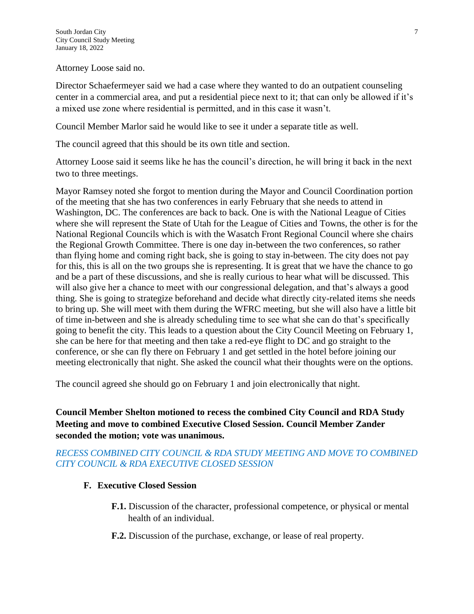Attorney Loose said no.

Director Schaefermeyer said we had a case where they wanted to do an outpatient counseling center in a commercial area, and put a residential piece next to it; that can only be allowed if it's a mixed use zone where residential is permitted, and in this case it wasn't.

Council Member Marlor said he would like to see it under a separate title as well.

The council agreed that this should be its own title and section.

Attorney Loose said it seems like he has the council's direction, he will bring it back in the next two to three meetings.

Mayor Ramsey noted she forgot to mention during the Mayor and Council Coordination portion of the meeting that she has two conferences in early February that she needs to attend in Washington, DC. The conferences are back to back. One is with the National League of Cities where she will represent the State of Utah for the League of Cities and Towns, the other is for the National Regional Councils which is with the Wasatch Front Regional Council where she chairs the Regional Growth Committee. There is one day in-between the two conferences, so rather than flying home and coming right back, she is going to stay in-between. The city does not pay for this, this is all on the two groups she is representing. It is great that we have the chance to go and be a part of these discussions, and she is really curious to hear what will be discussed. This will also give her a chance to meet with our congressional delegation, and that's always a good thing. She is going to strategize beforehand and decide what directly city-related items she needs to bring up. She will meet with them during the WFRC meeting, but she will also have a little bit of time in-between and she is already scheduling time to see what she can do that's specifically going to benefit the city. This leads to a question about the City Council Meeting on February 1, she can be here for that meeting and then take a red-eye flight to DC and go straight to the conference, or she can fly there on February 1 and get settled in the hotel before joining our meeting electronically that night. She asked the council what their thoughts were on the options.

The council agreed she should go on February 1 and join electronically that night.

# **Council Member Shelton motioned to recess the combined City Council and RDA Study Meeting and move to combined Executive Closed Session. Council Member Zander seconded the motion; vote was unanimous.**

# *RECESS COMBINED CITY COUNCIL & RDA STUDY MEETING AND MOVE TO COMBINED CITY COUNCIL & RDA EXECUTIVE CLOSED SESSION*

# **F. Executive Closed Session**

- **F.1.** Discussion of the character, professional competence, or physical or mental health of an individual.
- **F.2.** Discussion of the purchase, exchange, or lease of real property.